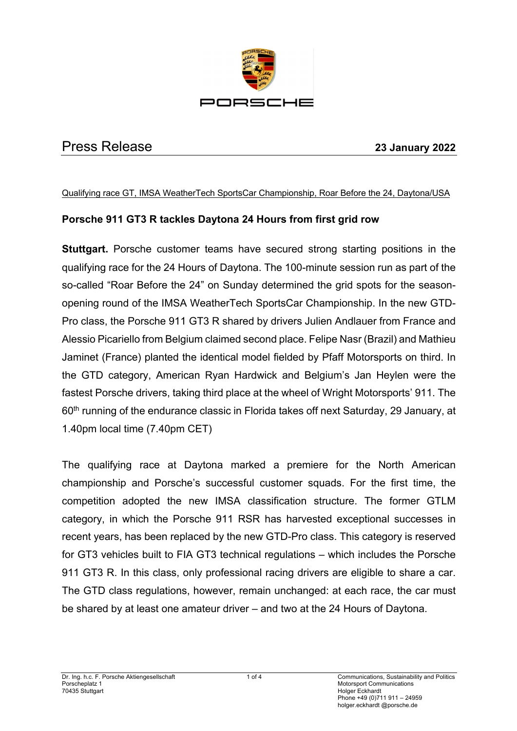

# Press Release **23 January 2022**

#### Qualifying race GT, IMSA WeatherTech SportsCar Championship, Roar Before the 24, Daytona/USA

## **Porsche 911 GT3 R tackles Daytona 24 Hours from first grid row**

**Stuttgart.** Porsche customer teams have secured strong starting positions in the qualifying race for the 24 Hours of Daytona. The 100-minute session run as part of the so-called "Roar Before the 24" on Sunday determined the grid spots for the seasonopening round of the IMSA WeatherTech SportsCar Championship. In the new GTD-Pro class, the Porsche 911 GT3 R shared by drivers Julien Andlauer from France and Alessio Picariello from Belgium claimed second place. Felipe Nasr (Brazil) and Mathieu Jaminet (France) planted the identical model fielded by Pfaff Motorsports on third. In the GTD category, American Ryan Hardwick and Belgium's Jan Heylen were the fastest Porsche drivers, taking third place at the wheel of Wright Motorsports' 911. The 60<sup>th</sup> running of the endurance classic in Florida takes off next Saturday, 29 January, at 1.40pm local time (7.40pm CET)

The qualifying race at Daytona marked a premiere for the North American championship and Porsche's successful customer squads. For the first time, the competition adopted the new IMSA classification structure. The former GTLM category, in which the Porsche 911 RSR has harvested exceptional successes in recent years, has been replaced by the new GTD-Pro class. This category is reserved for GT3 vehicles built to FIA GT3 technical regulations – which includes the Porsche 911 GT3 R. In this class, only professional racing drivers are eligible to share a car. The GTD class regulations, however, remain unchanged: at each race, the car must be shared by at least one amateur driver – and two at the 24 Hours of Daytona.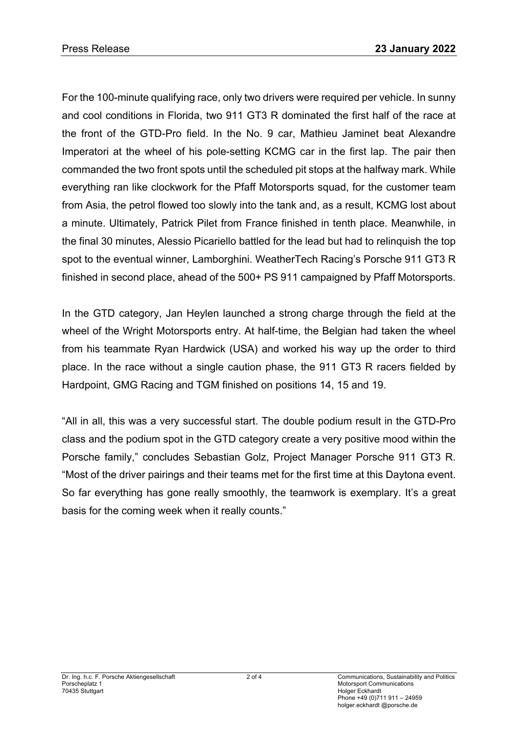For the 100-minute qualifying race, only two drivers were required per vehicle. In sunny and cool conditions in Florida, two 911 GT3 R dominated the first half of the race at the front of the GTD-Pro field. In the No. 9 car, Mathieu Jaminet beat Alexandre Imperatori at the wheel of his pole-setting KCMG car in the first lap. The pair then commanded the two front spots until the scheduled pit stops at the halfway mark. While everything ran like clockwork for the Pfaff Motorsports squad, for the customer team from Asia, the petrol flowed too slowly into the tank and, as a result, KCMG lost about a minute. Ultimately, Patrick Pilet from France finished in tenth place. Meanwhile, in the final 30 minutes, Alessio Picariello battled for the lead but had to relinquish the top spot to the eventual winner, Lamborghini. WeatherTech Racing's Porsche 911 GT3 R finished in second place, ahead of the 500+ PS 911 campaigned by Pfaff Motorsports.

In the GTD category, Jan Heylen launched a strong charge through the field at the wheel of the Wright Motorsports entry. At half-time, the Belgian had taken the wheel from his teammate Ryan Hardwick (USA) and worked his way up the order to third place. In the race without a single caution phase, the 911 GT3 R racers fielded by Hardpoint, GMG Racing and TGM finished on positions 14, 15 and 19.

"All in all, this was a very successful start. The double podium result in the GTD-Pro class and the podium spot in the GTD category create a very positive mood within the Porsche family," concludes Sebastian Golz, Project Manager Porsche 911 GT3 R. "Most of the driver pairings and their teams met for the first time at this Daytona event. So far everything has gone really smoothly, the teamwork is exemplary. It's a great basis for the coming week when it really counts."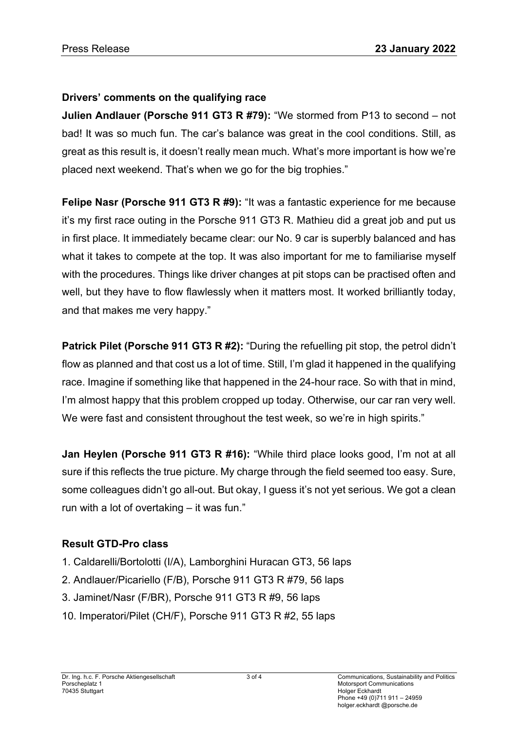## **Drivers' comments on the qualifying race**

**Julien Andlauer (Porsche 911 GT3 R #79):** "We stormed from P13 to second – not bad! It was so much fun. The car's balance was great in the cool conditions. Still, as great as this result is, it doesn't really mean much. What's more important is how we're placed next weekend. That's when we go for the big trophies."

**Felipe Nasr (Porsche 911 GT3 R #9):** "It was a fantastic experience for me because it's my first race outing in the Porsche 911 GT3 R. Mathieu did a great job and put us in first place. It immediately became clear: our No. 9 car is superbly balanced and has what it takes to compete at the top. It was also important for me to familiarise myself with the procedures. Things like driver changes at pit stops can be practised often and well, but they have to flow flawlessly when it matters most. It worked brilliantly today, and that makes me very happy."

**Patrick Pilet (Porsche 911 GT3 R #2):** "During the refuelling pit stop, the petrol didn't flow as planned and that cost us a lot of time. Still, I'm glad it happened in the qualifying race. Imagine if something like that happened in the 24-hour race. So with that in mind, I'm almost happy that this problem cropped up today. Otherwise, our car ran very well. We were fast and consistent throughout the test week, so we're in high spirits."

**Jan Heylen (Porsche 911 GT3 R #16):** "While third place looks good, I'm not at all sure if this reflects the true picture. My charge through the field seemed too easy. Sure, some colleagues didn't go all-out. But okay, I guess it's not yet serious. We got a clean run with a lot of overtaking – it was fun."

## **Result GTD-Pro class**

- 1. Caldarelli/Bortolotti (I/A), Lamborghini Huracan GT3, 56 laps
- 2. Andlauer/Picariello (F/B), Porsche 911 GT3 R #79, 56 laps
- 3. Jaminet/Nasr (F/BR), Porsche 911 GT3 R #9, 56 laps
- 10. Imperatori/Pilet (CH/F), Porsche 911 GT3 R #2, 55 laps